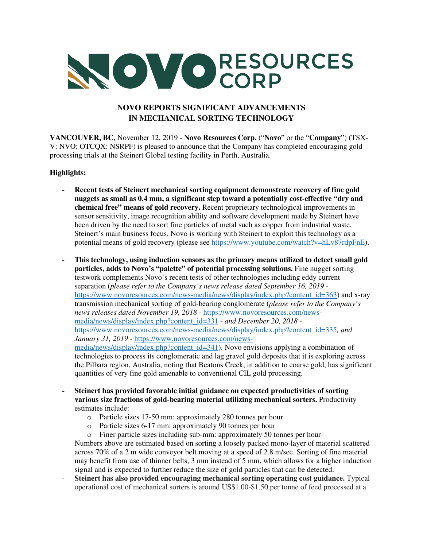

# **NOVO REPORTS SIGNIFICANT ADVANCEMENTS IN MECHANICAL SORTING TECHNOLOGY**

**VANCOUVER, BC**, November 12, 2019 - **Novo Resources Corp.** ("**Novo**" or the "**Company**") (TSX-V: NVO; OTCQX: NSRPF) is pleased to announce that the Company has completed encouraging gold processing trials at the Steinert Global testing facility in Perth, Australia.

# **Highlights:**

- **Recent tests of Steinert mechanical sorting equipment demonstrate recovery of fine gold nuggets as small as 0.4 mm, a significant step toward a potentially cost-effective "dry and chemical free" means of gold recovery.** Recent proprietary technological improvements in sensor sensitivity, image recognition ability and software development made by Steinert have been driven by the need to sort fine particles of metal such as copper from industrial waste, Steinert's main business focus. Novo is working with Steinert to exploit this technology as a potential means of gold recovery (please see https://www.youtube.com/watch?v=hLv87rdpFnE).
- **This technology, using induction sensors as the primary means utilized to detect small gold particles, adds to Novo's "palette" of potential processing solutions.** Fine nugget sorting testwork complements Novo's recent tests of other technologies including eddy current separation (*please refer to the Company's news release dated September 16, 2019*  https://www.novoresources.com/news-media/news/display/index.php?content\_id=363) and x-ray transmission mechanical sorting of gold-bearing conglomerate (*please refer to the Company's news releases dated November 19, 2018 -* https://www.novoresources.com/newsmedia/news/display/index.php?content\_id=331 - *and December 20, 2018*  https://www.novoresources.com/news-media/news/display/index.php?content\_id=335*, and January 31, 2019 -* https://www.novoresources.com/newsmedia/news/display/index.php?content\_id=341). Novo envisions applying a combination of technologies to process its conglomeratic and lag gravel gold deposits that it is exploring across the Pilbara region, Australia, noting that Beatons Creek, in addition to coarse gold, has significant quantities of very fine gold amenable to conventional CIL gold processing.
- **Steinert has provided favorable initial guidance on expected productivities of sorting various size fractions of gold-bearing material utilizing mechanical sorters.** Productivity estimates include:
	- o Particle sizes 17-50 mm: approximately 280 tonnes per hour
	- o Particle sizes 6-17 mm: approximately 90 tonnes per hour

o Finer particle sizes including sub-mm: approximately 50 tonnes per hour Numbers above are estimated based on sorting a loosely packed mono-layer of material scattered across 70% of a 2 m wide conveyor belt moving at a speed of 2.8 m/sec. Sorting of fine material may benefit from use of thinner belts, 3 mm instead of 5 mm, which allows for a higher induction signal and is expected to further reduce the size of gold particles that can be detected.

- **Steinert has also provided encouraging mechanical sorting operating cost guidance.** Typical operational cost of mechanical sorters is around US\$1.00-\$1.50 per tonne of feed processed at a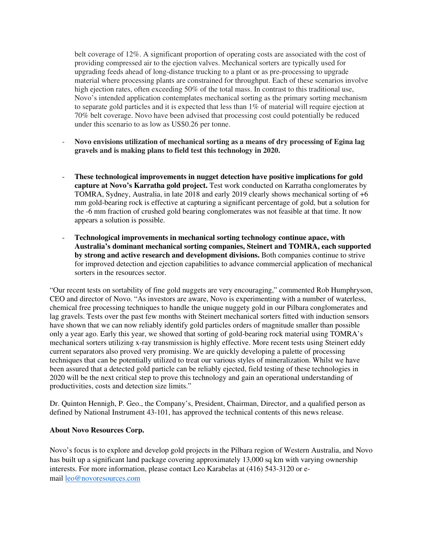belt coverage of 12%. A significant proportion of operating costs are associated with the cost of providing compressed air to the ejection valves. Mechanical sorters are typically used for upgrading feeds ahead of long-distance trucking to a plant or as pre-processing to upgrade material where processing plants are constrained for throughput. Each of these scenarios involve high ejection rates, often exceeding 50% of the total mass. In contrast to this traditional use, Novo's intended application contemplates mechanical sorting as the primary sorting mechanism to separate gold particles and it is expected that less than 1% of material will require ejection at 70% belt coverage. Novo have been advised that processing cost could potentially be reduced under this scenario to as low as US\$0.26 per tonne.

- **Novo envisions utilization of mechanical sorting as a means of dry processing of Egina lag gravels and is making plans to field test this technology in 2020.**
- **These technological improvements in nugget detection have positive implications for gold capture at Novo's Karratha gold project.** Test work conducted on Karratha conglomerates by TOMRA, Sydney, Australia, in late 2018 and early 2019 clearly shows mechanical sorting of +6 mm gold-bearing rock is effective at capturing a significant percentage of gold, but a solution for the -6 mm fraction of crushed gold bearing conglomerates was not feasible at that time. It now appears a solution is possible.
- **Technological improvements in mechanical sorting technology continue apace, with Australia's dominant mechanical sorting companies, Steinert and TOMRA, each supported by strong and active research and development divisions.** Both companies continue to strive for improved detection and ejection capabilities to advance commercial application of mechanical sorters in the resources sector.

"Our recent tests on sortability of fine gold nuggets are very encouraging," commented Rob Humphryson, CEO and director of Novo. "As investors are aware, Novo is experimenting with a number of waterless, chemical free processing techniques to handle the unique nuggety gold in our Pilbara conglomerates and lag gravels. Tests over the past few months with Steinert mechanical sorters fitted with induction sensors have shown that we can now reliably identify gold particles orders of magnitude smaller than possible only a year ago. Early this year, we showed that sorting of gold-bearing rock material using TOMRA's mechanical sorters utilizing x-ray transmission is highly effective. More recent tests using Steinert eddy current separators also proved very promising. We are quickly developing a palette of processing techniques that can be potentially utilized to treat our various styles of mineralization. Whilst we have been assured that a detected gold particle can be reliably ejected, field testing of these technologies in 2020 will be the next critical step to prove this technology and gain an operational understanding of productivities, costs and detection size limits."

Dr. Quinton Hennigh, P. Geo., the Company's, President, Chairman, Director, and a qualified person as defined by National Instrument 43-101, has approved the technical contents of this news release.

#### **About Novo Resources Corp.**

Novo's focus is to explore and develop gold projects in the Pilbara region of Western Australia, and Novo has built up a significant land package covering approximately 13,000 sq km with varying ownership interests. For more information, please contact Leo Karabelas at (416) 543-3120 or email leo@novoresources.com